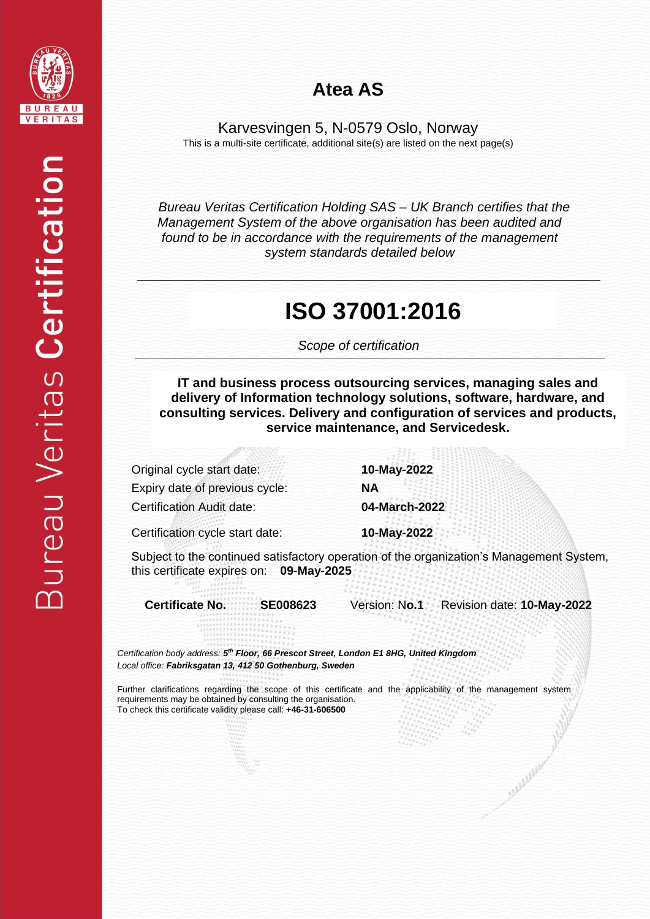

#### **Atea AS**

Karvesvingen 5, N-0579 Oslo, Norway This is a multi-site certificate, additional site(s) are listed on the next page(s)

*Bureau Veritas Certification Holding SAS – UK Branch certifies that the Management System of the above organisation has been audited and found to be in accordance with the requirements of the management system standards detailed below*

#### **ISO 37001:2016**

 *Scope of certification*

**IT and business process outsourcing services, managing sales and delivery of Information technology solutions, software, hardware, and consulting services. Delivery and configuration of services and products, service maintenance, and Servicedesk.**

Original cycle start date: **10-May-2022** Expiry date of previous cycle: **NA** Certification Audit date: **04-March-2022**

Certification cycle start date: **10-May-2022**

Subject to the continued satisfactory operation of the organization's Management System, this certificate expires on: **09-May-2025**

**Certificate No. SE008623** Version: N**o.1** Revision date: **10-May-2022**

*Certification body address: 5 th Floor, 66 Prescot Street, London E1 8HG, United Kingdom Local office: Fabriksgatan 13, 412 50 Gothenburg, Sweden*

Further clarifications regarding the scope of this certificate and the applicability of the management system requirements may be obtained by consulting the organisation. To check this certificate validity please call: **+46-31-606500**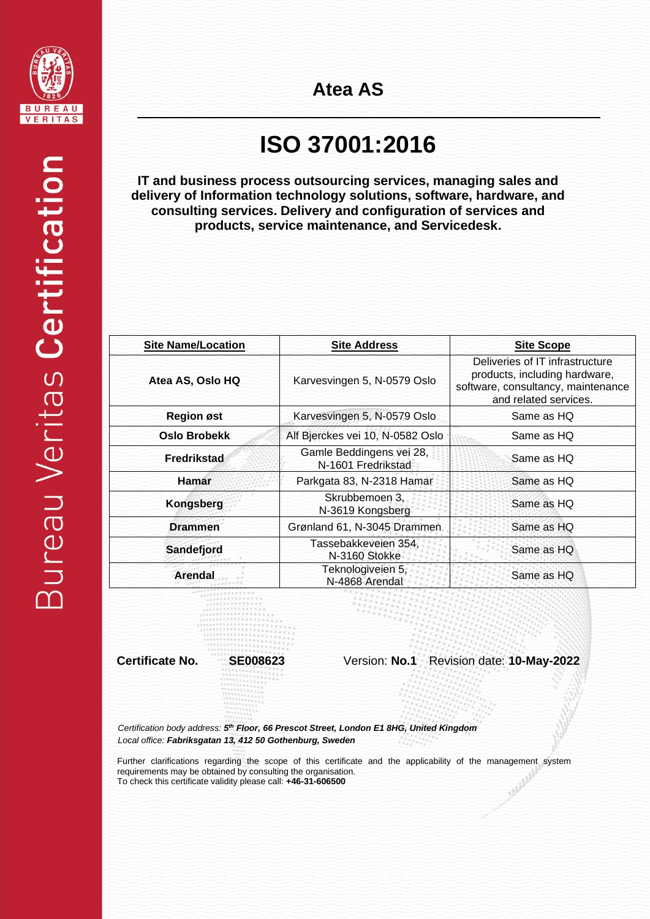

## **ISO 37001:2016**

**IT and business process outsourcing services, managing sales and delivery of Information technology solutions, software, hardware, and consulting services. Delivery and configuration of services and products, service maintenance, and Servicedesk.**

| <b>Site Name/Location</b> | <b>Site Address</b>                            | <b>Site Scope</b>                                                                                                               |
|---------------------------|------------------------------------------------|---------------------------------------------------------------------------------------------------------------------------------|
| Atea AS, Oslo HQ          | Karvesvingen 5, N-0579 Oslo                    | Deliveries of IT infrastructure<br>products, including hardware,<br>software, consultancy, maintenance<br>and related services. |
| <b>Region øst</b>         | Karvesvingen 5, N-0579 Oslo                    | Same as HQ                                                                                                                      |
| <b>Oslo Brobekk</b>       | Alf Bjerckes vei 10, N-0582 Oslo               | Same as HQ                                                                                                                      |
| Fredrikstad               | Gamle Beddingens vei 28,<br>N-1601 Fredrikstad | Same as HQ                                                                                                                      |
| <b>Hamar</b>              | Parkgata 83, N-2318 Hamar                      | Same as HQ                                                                                                                      |
| <b>Kongsberg</b>          | Skrubbemoen 3.<br>N-3619 Kongsberg             | Same as HQ                                                                                                                      |
| <b>Drammen</b>            | Grønland 61, N-3045 Drammen                    | Same as HQ                                                                                                                      |
| Sandefjord                | Tassebakkeveien 354,<br>N-3160 Stokke          | Same as HQ                                                                                                                      |
| <b>Arendal</b>            | Teknologiveien 5,<br>N-4868 Arendal            | Same as HQ                                                                                                                      |

**Certificate No. SE008623** Version: **No.1** Revision date: **10-May-2022**

*Certification body address: 5 th Floor, 66 Prescot Street, London E1 8HG, United Kingdom Local office: Fabriksgatan 13, 412 50 Gothenburg, Sweden*

Further clarifications regarding the scope of this certificate and the applicability of the management system requirements may be obtained by consulting the organisation.<br>To check this certificate validity please call: +46 requirements may be obtained by consulting the organisation. To check this certificate validity please call: **+46-31-606500**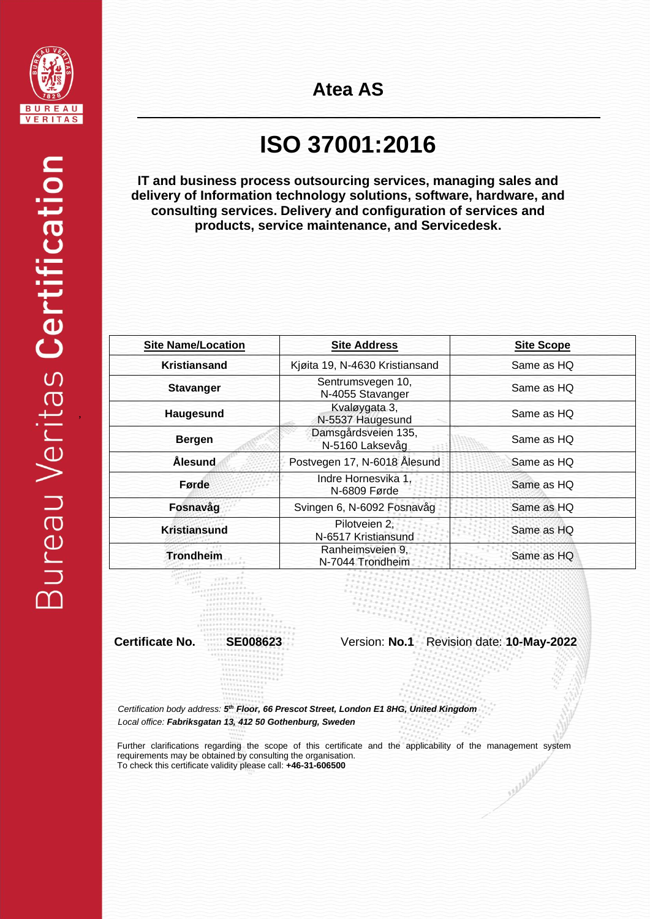

,

# **ISO 37001:2016**

**IT and business process outsourcing services, managing sales and delivery of Information technology solutions, software, hardware, and consulting services. Delivery and configuration of services and products, service maintenance, and Servicedesk.**

| <b>Site Name/Location</b> | <b>Site Address</b>                    | <b>Site Scope</b> |
|---------------------------|----------------------------------------|-------------------|
| Kristiansand              | Kjøita 19, N-4630 Kristiansand         | Same as HQ        |
| <b>Stavanger</b>          | Sentrumsvegen 10,<br>N-4055 Stavanger  | Same as HQ        |
| Haugesund                 | Kvaløygata 3,<br>N-5537 Haugesund      | Same as HQ        |
| <b>Bergen</b>             | Damsgårdsveien 135,<br>N-5160 Laksevåg | Same as HQ        |
| <b>Ålesund</b>            | Postvegen 17, N-6018 Ålesund           | Same as HQ        |
| Førde                     | Indre Hornesvika 1,<br>N-6809 Førde    | Same as HQ        |
| Fosnavåg                  | Svingen 6, N-6092 Fosnavåg             | Same as HQ        |
| <b>Kristiansund</b>       | Pilotveien 2,<br>N-6517 Kristiansund   | Same as HQ        |
| <b>Trondheim</b>          | Ranheimsveien 9,<br>N-7044 Trondheim   | Same as HQ        |

**Certificate No. SE008623** Version: **No.1** Revision date: **10-May-2022**

*Certification body address: 5 th Floor, 66 Prescot Street, London E1 8HG, United Kingdom Local office: Fabriksgatan 13, 412 50 Gothenburg, Sweden*

Further clarifications regarding the scope of this certificate and the applicability of the management system requirements may be obtained by consulting the organisation. Suppleting To check this certificate validity please call: **+46-31-606500**